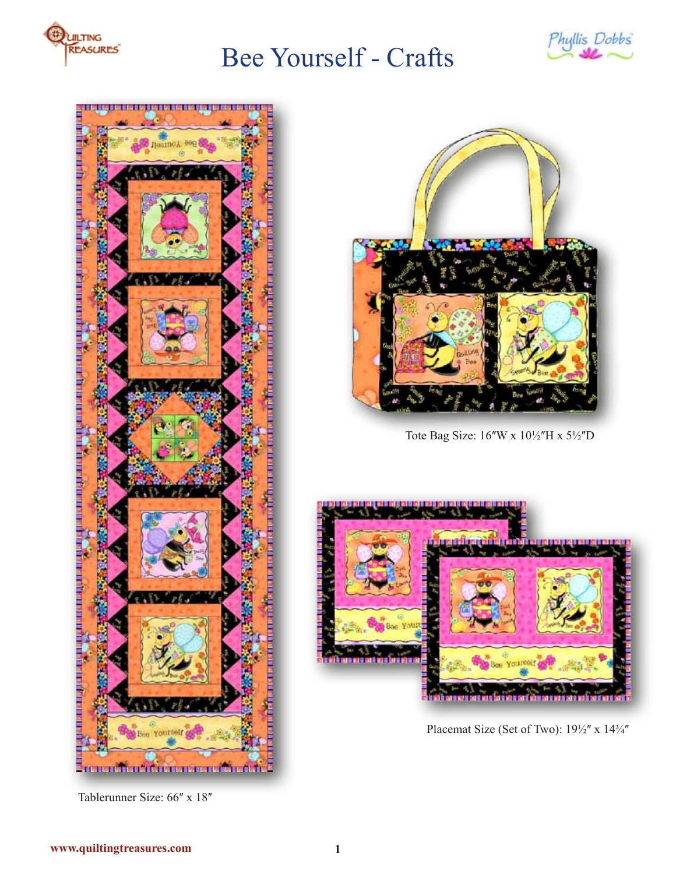





Tablerunner Size: 66" x 18"



Tote Bag Size: 16"W x 101/2"H x 51/2"D



Placemat Size (Set of Two):  $19\frac{1}{2}$ " x  $14\frac{3}{4}$ "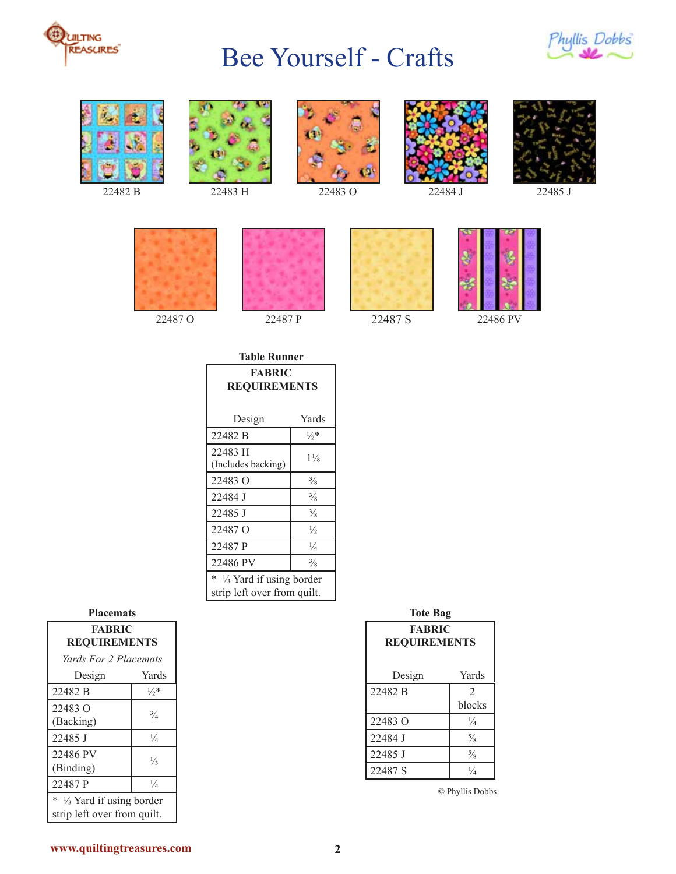







22482 B 22483 H 22483 O 22484 J 22485 J













| Table Runner                                              |                 |  |
|-----------------------------------------------------------|-----------------|--|
| <b>FABRIC</b><br><b>REQUIREMENTS</b>                      |                 |  |
| Design                                                    | Yards           |  |
| 22482 B                                                   | $\frac{1}{2}$ * |  |
| 22483 H<br>(Includes backing)                             | $1\frac{1}{8}$  |  |
| 22483 O                                                   | $\frac{3}{8}$   |  |
| 22484 J                                                   | $\frac{3}{8}$   |  |
| 22485 J                                                   | $\frac{3}{8}$   |  |
| 22487 O                                                   | $\frac{1}{2}$   |  |
| 22487 P                                                   | $\frac{1}{4}$   |  |
| 22486 PV                                                  | $\frac{3}{8}$   |  |
| * 1/3 Yard if using border<br>strip left over from quilt. |                 |  |

| <b>Placemats</b>                        |                 |  |
|-----------------------------------------|-----------------|--|
| <b>FABRIC</b><br><b>REQUIREMENTS</b>    |                 |  |
| Yards For 2 Placemats                   |                 |  |
| Design                                  | Yards           |  |
| 22482 B                                 | $\frac{1}{2}$ * |  |
| 22483 O                                 | $\frac{3}{4}$   |  |
| (Backing)                               |                 |  |
| 22485 J                                 | $\frac{1}{4}$   |  |
| 22486 PV                                | $\frac{1}{3}$   |  |
| (Binding)                               |                 |  |
| 22487 P                                 | $\frac{1}{4}$   |  |
| *<br>$\frac{1}{3}$ Yard if using border |                 |  |
| strip left over from quilt.             |                 |  |

| <b>Tote Bag</b>                      |                |  |
|--------------------------------------|----------------|--|
| <b>FABRIC</b><br><b>REQUIREMENTS</b> |                |  |
|                                      |                |  |
| Design                               | Yards          |  |
| 22482 B                              | $\mathfrak{D}$ |  |
|                                      | blocks         |  |
| 22483 Q                              | $\frac{1}{4}$  |  |
| 22484 J                              | $\frac{5}{8}$  |  |
| 22485 J                              | $\frac{5}{8}$  |  |
| 22487 S                              | $\frac{1}{4}$  |  |
|                                      |                |  |

© Phyllis Dobbs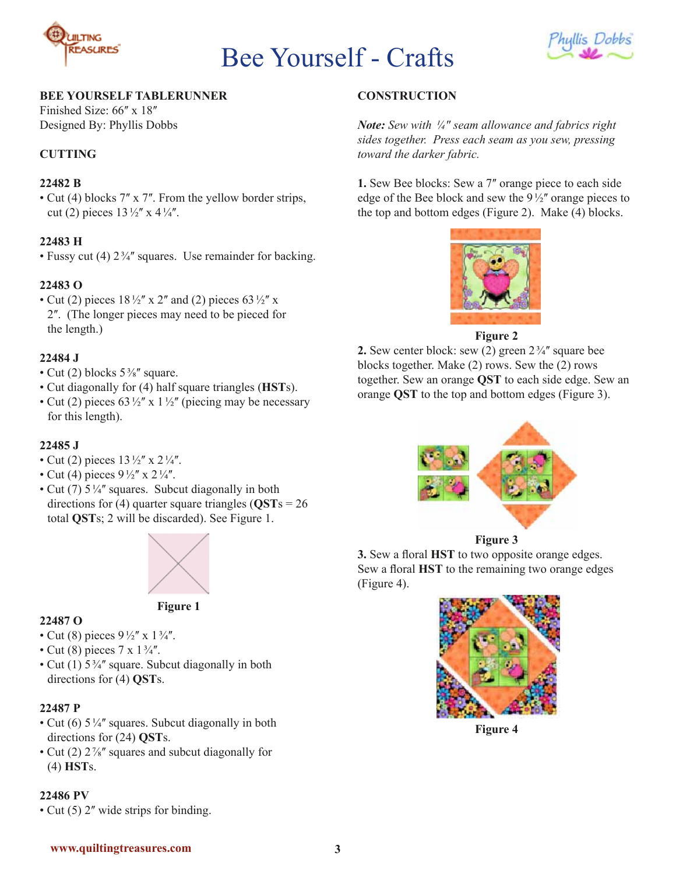



#### **BEE YOURSELF TABLERUNNER**

Finished Size: 66" x 18" Designed By: Phyllis Dobbs

#### **CUTTING**

#### **22482 B**

• Cut (4) blocks 7" x 7". From the yellow border strips, cut (2) pieces  $13\frac{1}{2}$  x  $4\frac{1}{4}$ .

#### **22483 H**

• Fussy cut (4)  $2\frac{3}{4}$  squares. Use remainder for backing.

#### **22483 O**

• Cut (2) pieces  $18\frac{1}{2}$  x 2" and (2) pieces 63 $\frac{1}{2}$ " x 2ʺ. (The longer pieces may need to be pieced for the length.)

#### **22484 J**

- Cut (2) blocks  $5\frac{3}{8}$ " square.
- Cut diagonally for (4) half square triangles (**HST**s).
- Cut (2) pieces 63 $\frac{1}{2}$ <sup>"</sup> x 1 $\frac{1}{2}$ " (piecing may be necessary for this length).

#### **22485 J**

- Cut (2) pieces  $13\frac{1}{2}$  x  $2\frac{1}{4}$ .
- Cut (4) pieces  $9\frac{1}{2}$  x  $2\frac{1}{4}$ .
- Cut (7)  $5\frac{1}{4}$  squares. Subcut diagonally in both directions for (4) quarter square triangles (**QST**s = 26 total **QST**s; 2 will be discarded). See Figure 1.



**Figure 1**

#### **22487 O**

- Cut (8) pieces  $9\frac{1}{2}$ " x  $1\frac{3}{4}$ ".
- Cut (8) pieces  $7 \times 1\frac{3}{4}$ .
- Cut (1)  $5\frac{3}{4}$ " square. Subcut diagonally in both directions for (4) **QST**s.

#### **22487 P**

- Cut (6)  $5\frac{1}{4}$ " squares. Subcut diagonally in both directions for (24) **QST**s.
- Cut (2)  $2\frac{7}{8}$ " squares and subcut diagonally for (4) **HST**s.

### **22486 PV**

• Cut (5) 2" wide strips for binding.

### **CONSTRUCTION**

*Note: Sew with ¼ʺ seam allowance and fabrics right sides together. Press each seam as you sew, pressing toward the darker fabric.*

**1.** Sew Bee blocks: Sew a 7" orange piece to each side edge of the Bee block and sew the  $9\frac{1}{2}$  orange pieces to the top and bottom edges (Figure 2). Make (4) blocks.



**Figure 2**

**2.** Sew center block: sew  $(2)$  green  $2\frac{3}{4}$  square bee blocks together. Make (2) rows. Sew the (2) rows together. Sew an orange **QST** to each side edge. Sew an orange **QST** to the top and bottom edges (Figure 3).



#### **Figure 3**

**3.** Sew a floral **HST** to two opposite orange edges. Sew a floral **HST** to the remaining two orange edges (Figure 4).



**Figure 4**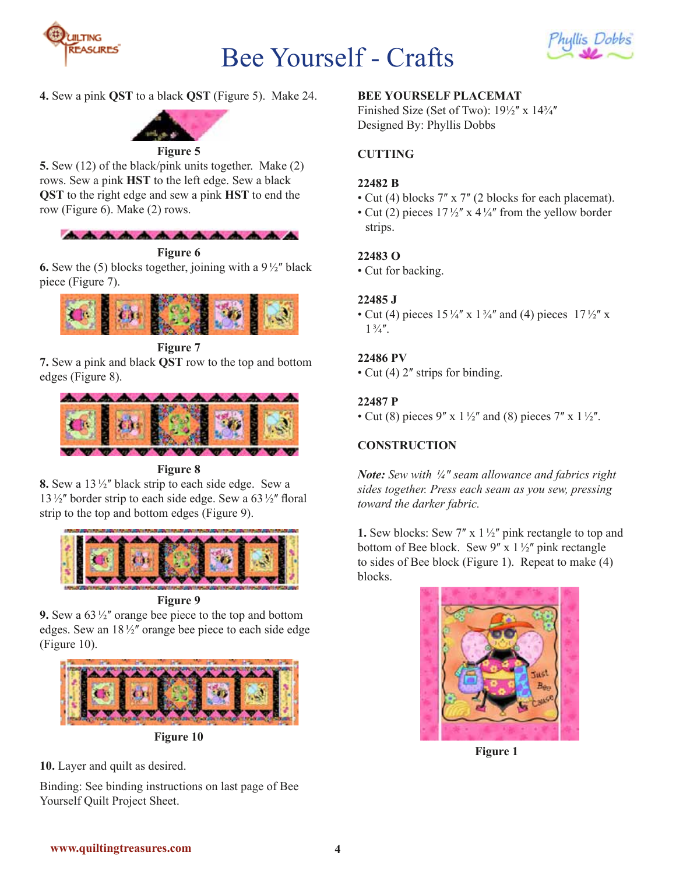



**4.** Sew a pink **QST** to a black **QST** (Figure 5). Make 24.



#### **Figure 5**

**5.** Sew (12) of the black/pink units together. Make (2) rows. Sew a pink **HST** to the left edge. Sew a black **QST** to the right edge and sew a pink **HST** to end the row (Figure 6). Make (2) rows.



**Figure 6**

**6.** Sew the (5) blocks together, joining with a  $9\frac{1}{2}$  black piece (Figure 7).



**Figure 7**

**7.** Sew a pink and black **QST** row to the top and bottom edges (Figure 8).



**Figure 8**

**8.** Sew a 13½" black strip to each side edge. Sew a  $13\frac{1}{2}$  border strip to each side edge. Sew a 63 $\frac{1}{2}$  floral strip to the top and bottom edges (Figure 9).



**Figure 9**

**9.** Sew a  $63\frac{1}{2}$  orange bee piece to the top and bottom edges. Sew an  $18\frac{1}{2}$  orange bee piece to each side edge (Figure 10).



**Figure 10**

**10.** Layer and quilt as desired.

Binding: See binding instructions on last page of Bee Yourself Quilt Project Sheet.

## **BEE YOURSELF PLACEMAT**

Finished Size (Set of Two):  $19\frac{1}{2}$  x  $14\frac{3}{4}$ " Designed By: Phyllis Dobbs

## **CUTTING**

## **22482 B**

- Cut (4) blocks 7" x 7" (2 blocks for each placemat).
- Cut (2) pieces  $17\frac{1}{2}$  x  $4\frac{1}{4}$  from the yellow border strips.

## **22483 O**

• Cut for backing.

## **22485 J**

• Cut (4) pieces  $15\frac{1}{4}$  x  $1\frac{3}{4}$  and (4) pieces  $17\frac{1}{2}$  x  $1\frac{3}{4}$ .

## **22486 PV**

• Cut (4)  $2^{\prime\prime}$  strips for binding.

## **22487 P**

• Cut (8) pieces 9" x  $1\frac{1}{2}$ " and (8) pieces 7" x  $1\frac{1}{2}$ ".

# **CONSTRUCTION**

*Note: Sew with ¼ʺ seam allowance and fabrics right sides together. Press each seam as you sew, pressing toward the darker fabric.*

**1.** Sew blocks: Sew  $7''$  x  $1\frac{1}{2}''$  pink rectangle to top and bottom of Bee block. Sew  $9''$  x  $1\frac{1}{2}''$  pink rectangle to sides of Bee block (Figure 1). Repeat to make (4) blocks.



**Figure 1**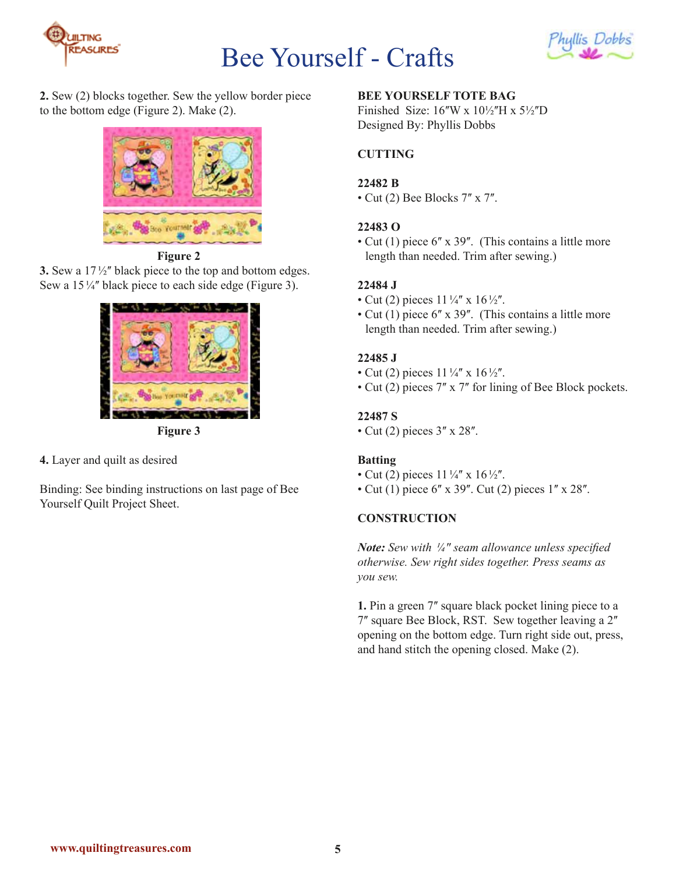



**2.** Sew (2) blocks together. Sew the yellow border piece to the bottom edge (Figure 2). Make (2).



**Figure 2**

**3.** Sew a 17½" black piece to the top and bottom edges. Sew a  $15\frac{1}{4}$ " black piece to each side edge (Figure 3).



**Figure 3**

**4.** Layer and quilt as desired

Binding: See binding instructions on last page of Bee Yourself Quilt Project Sheet.

# **BEE YOURSELF TOTE BAG**

Finished Size:  $16\text{W}$  x  $10\frac{1}{2}\text{H}$  x  $5\frac{1}{2}\text{D}$ Designed By: Phyllis Dobbs

# **CUTTING**

## **22482 B**

• Cut (2) Bee Blocks  $7'' \times 7''$ .

## **22483 O**

• Cut (1) piece  $6'' \times 39''$ . (This contains a little more length than needed. Trim after sewing.)

## **22484 J**

- Cut (2) pieces  $11\frac{1}{4}$  x  $16\frac{1}{2}$ .
- Cut (1) piece 6" x 39". (This contains a little more length than needed. Trim after sewing.)

## **22485 J**

- Cut (2) pieces  $11\frac{1}{4}$  x  $16\frac{1}{2}$ .
- Cut (2) pieces 7" x 7" for lining of Bee Block pockets.

## **22487 S**

• Cut (2) pieces  $3'' \times 28''$ .

## **Batting**

- Cut (2) pieces  $11\frac{1}{4}$  x  $16\frac{1}{2}$ .
- Cut (1) piece  $6''$  x 39". Cut (2) pieces  $1''$  x 28".

## **CONSTRUCTION**

*Note: Sew with ¼ʺ seam allowance unless specified otherwise. Sew right sides together. Press seams as you sew.*

**1.** Pin a green 7" square black pocket lining piece to a 7" square Bee Block, RST. Sew together leaving a 2" opening on the bottom edge. Turn right side out, press, and hand stitch the opening closed. Make (2).